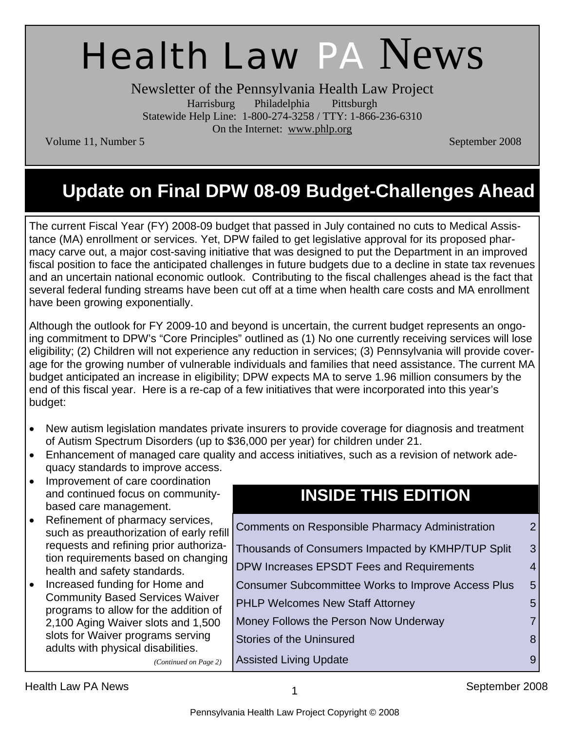# Health Law PA News

Newsletter of the Pennsylvania Health Law Project Harrisburg Philadelphia Pittsburgh Statewide Help Line: 1-800-274-3258 / TTY: 1-866-236-6310 On the Internet: www.phlp.org

Volume 11, Number 5 September 2008

# **Update on Final DPW 08-09 Budget-Challenges Ahead**

The current Fiscal Year (FY) 2008-09 budget that passed in July contained no cuts to Medical Assistance (MA) enrollment or services. Yet, DPW failed to get legislative approval for its proposed pharmacy carve out, a major cost-saving initiative that was designed to put the Department in an improved fiscal position to face the anticipated challenges in future budgets due to a decline in state tax revenues and an uncertain national economic outlook. Contributing to the fiscal challenges ahead is the fact that several federal funding streams have been cut off at a time when health care costs and MA enrollment have been growing exponentially.

Although the outlook for FY 2009-10 and beyond is uncertain, the current budget represents an ongoing commitment to DPW's "Core Principles" outlined as (1) No one currently receiving services will lose eligibility; (2) Children will not experience any reduction in services; (3) Pennsylvania will provide coverage for the growing number of vulnerable individuals and families that need assistance. The current MA budget anticipated an increase in eligibility; DPW expects MA to serve 1.96 million consumers by the end of this fiscal year. Here is a re-cap of a few initiatives that were incorporated into this year's budget:

- New autism legislation mandates private insurers to provide coverage for diagnosis and treatment of Autism Spectrum Disorders (up to \$36,000 per year) for children under 21.
- Enhancement of managed care quality and access initiatives, such as a revision of network adequacy standards to improve access.
- Improvement of care coordination and continued focus on communitybased care management.
- Refinement of pharmacy services, such as preauthorization of early refill requests and refining prior authorization requirements based on changing health and safety standards.
- Increased funding for Home and Community Based Services Waiver programs to allow for the addition of 2,100 Aging Waiver slots and 1,500 slots for Waiver programs serving adults with physical disabilities.

### **INSIDE THIS EDITION**

| <b>Comments on Responsible Pharmacy Administration</b>    | $\overline{2}$ |
|-----------------------------------------------------------|----------------|
| Thousands of Consumers Impacted by KMHP/TUP Split         | 3              |
| DPW Increases EPSDT Fees and Requirements                 | 4              |
| <b>Consumer Subcommittee Works to Improve Access Plus</b> | 5              |
| <b>PHLP Welcomes New Staff Attorney</b>                   | 5              |
| Money Follows the Person Now Underway                     |                |
| <b>Stories of the Uninsured</b>                           |                |
| Assisted Living Update                                    |                |

*(Continued on Page 2)*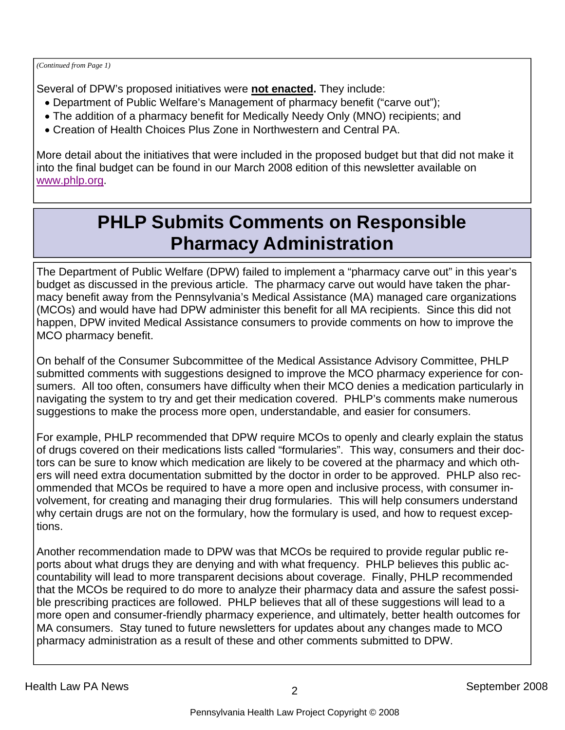*(Continued from Page 1)* 

Several of DPW's proposed initiatives were **not enacted.** They include:

- Department of Public Welfare's Management of pharmacy benefit ("carve out");
- The addition of a pharmacy benefit for Medically Needy Only (MNO) recipients; and
- Creation of Health Choices Plus Zone in Northwestern and Central PA.

More detail about the initiatives that were included in the proposed budget but that did not make it into the final budget can be found in our March 2008 edition of this newsletter available on www.phlp.org.

# **PHLP Submits Comments on Responsible Pharmacy Administration**

The Department of Public Welfare (DPW) failed to implement a "pharmacy carve out" in this year's budget as discussed in the previous article. The pharmacy carve out would have taken the pharmacy benefit away from the Pennsylvania's Medical Assistance (MA) managed care organizations (MCOs) and would have had DPW administer this benefit for all MA recipients. Since this did not happen, DPW invited Medical Assistance consumers to provide comments on how to improve the MCO pharmacy benefit.

On behalf of the Consumer Subcommittee of the Medical Assistance Advisory Committee, PHLP submitted comments with suggestions designed to improve the MCO pharmacy experience for consumers. All too often, consumers have difficulty when their MCO denies a medication particularly in navigating the system to try and get their medication covered. PHLP's comments make numerous suggestions to make the process more open, understandable, and easier for consumers.

For example, PHLP recommended that DPW require MCOs to openly and clearly explain the status of drugs covered on their medications lists called "formularies". This way, consumers and their doctors can be sure to know which medication are likely to be covered at the pharmacy and which others will need extra documentation submitted by the doctor in order to be approved. PHLP also recommended that MCOs be required to have a more open and inclusive process, with consumer involvement, for creating and managing their drug formularies. This will help consumers understand why certain drugs are not on the formulary, how the formulary is used, and how to request exceptions.

Another recommendation made to DPW was that MCOs be required to provide regular public reports about what drugs they are denying and with what frequency. PHLP believes this public accountability will lead to more transparent decisions about coverage. Finally, PHLP recommended that the MCOs be required to do more to analyze their pharmacy data and assure the safest possible prescribing practices are followed. PHLP believes that all of these suggestions will lead to a more open and consumer-friendly pharmacy experience, and ultimately, better health outcomes for MA consumers. Stay tuned to future newsletters for updates about any changes made to MCO pharmacy administration as a result of these and other comments submitted to DPW.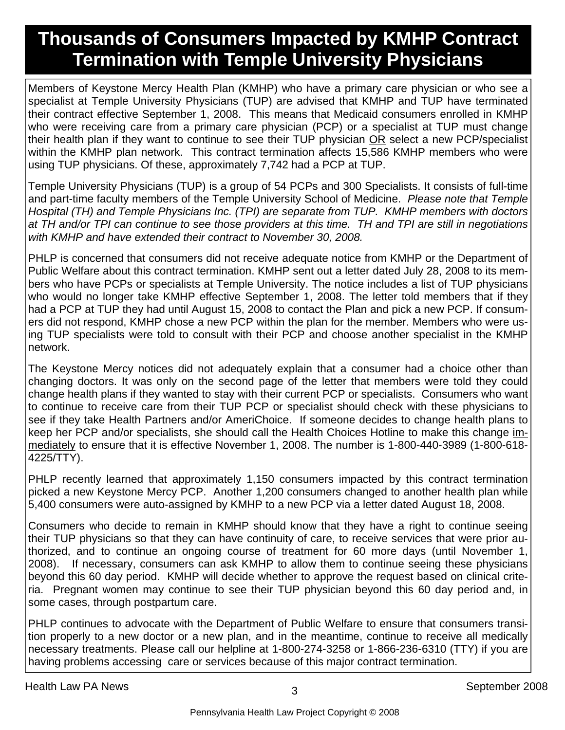# **Thousands of Consumers Impacted by KMHP Contract Termination with Temple University Physicians**

Members of Keystone Mercy Health Plan (KMHP) who have a primary care physician or who see a specialist at Temple University Physicians (TUP) are advised that KMHP and TUP have terminated their contract effective September 1, 2008. This means that Medicaid consumers enrolled in KMHP who were receiving care from a primary care physician (PCP) or a specialist at TUP must change their health plan if they want to continue to see their TUP physician OR select a new PCP/specialist within the KMHP plan network. This contract termination affects 15,586 KMHP members who were using TUP physicians. Of these, approximately 7,742 had a PCP at TUP.

Temple University Physicians (TUP) is a group of 54 PCPs and 300 Specialists. It consists of full-time and part-time faculty members of the Temple University School of Medicine. *Please note that Temple Hospital (TH) and Temple Physicians Inc. (TPI) are separate from TUP. KMHP members with doctors at TH and/or TPI can continue to see those providers at this time. TH and TPI are still in negotiations with KMHP and have extended their contract to November 30, 2008.* 

PHLP is concerned that consumers did not receive adequate notice from KMHP or the Department of Public Welfare about this contract termination. KMHP sent out a letter dated July 28, 2008 to its members who have PCPs or specialists at Temple University. The notice includes a list of TUP physicians who would no longer take KMHP effective September 1, 2008. The letter told members that if they had a PCP at TUP they had until August 15, 2008 to contact the Plan and pick a new PCP. If consumers did not respond, KMHP chose a new PCP within the plan for the member. Members who were using TUP specialists were told to consult with their PCP and choose another specialist in the KMHP network.

The Keystone Mercy notices did not adequately explain that a consumer had a choice other than changing doctors. It was only on the second page of the letter that members were told they could change health plans if they wanted to stay with their current PCP or specialists. Consumers who want to continue to receive care from their TUP PCP or specialist should check with these physicians to see if they take Health Partners and/or AmeriChoice. If someone decides to change health plans to keep her PCP and/or specialists, she should call the Health Choices Hotline to make this change immediately to ensure that it is effective November 1, 2008. The number is 1-800-440-3989 (1-800-618- 4225/TTY).

PHLP recently learned that approximately 1,150 consumers impacted by this contract termination picked a new Keystone Mercy PCP. Another 1,200 consumers changed to another health plan while 5,400 consumers were auto-assigned by KMHP to a new PCP via a letter dated August 18, 2008.

Consumers who decide to remain in KMHP should know that they have a right to continue seeing their TUP physicians so that they can have continuity of care, to receive services that were prior authorized, and to continue an ongoing course of treatment for 60 more days (until November 1, 2008). If necessary, consumers can ask KMHP to allow them to continue seeing these physicians beyond this 60 day period. KMHP will decide whether to approve the request based on clinical criteria. Pregnant women may continue to see their TUP physician beyond this 60 day period and, in some cases, through postpartum care.

PHLP continues to advocate with the Department of Public Welfare to ensure that consumers transition properly to a new doctor or a new plan, and in the meantime, continue to receive all medically necessary treatments. Please call our helpline at 1-800-274-3258 or 1-866-236-6310 (TTY) if you are having problems accessing care or services because of this major contract termination.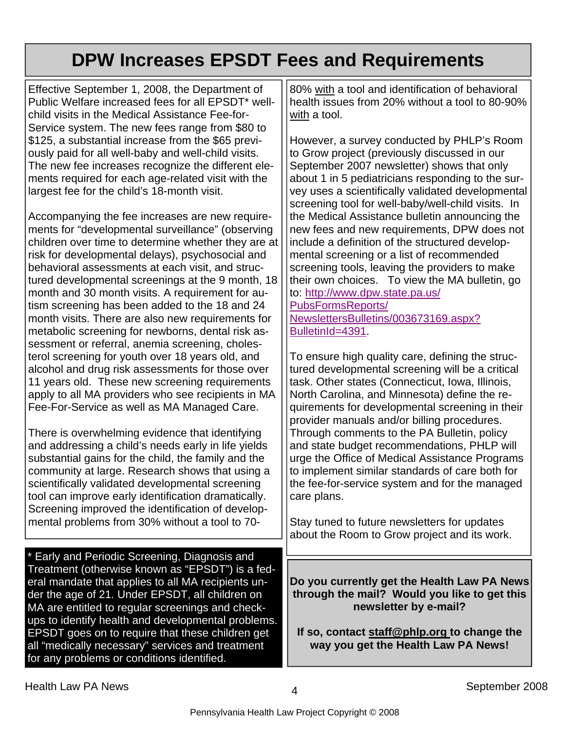# **DPW Increases EPSDT Fees and Requirements**

Effective September 1, 2008, the Department of Public Welfare increased fees for all EPSDT\* wellchild visits in the Medical Assistance Fee-for-Service system. The new fees range from \$80 to \$125, a substantial increase from the \$65 previously paid for all well-baby and well-child visits. The new fee increases recognize the different elements required for each age-related visit with the largest fee for the child's 18-month visit.

Accompanying the fee increases are new requirements for "developmental surveillance" (observing children over time to determine whether they are at risk for developmental delays), psychosocial and behavioral assessments at each visit, and structured developmental screenings at the 9 month, 18 month and 30 month visits. A requirement for autism screening has been added to the 18 and 24 month visits. There are also new requirements for metabolic screening for newborns, dental risk assessment or referral, anemia screening, cholesterol screening for youth over 18 years old, and alcohol and drug risk assessments for those over 11 years old. These new screening requirements apply to all MA providers who see recipients in MA Fee-For-Service as well as MA Managed Care.

There is overwhelming evidence that identifying and addressing a child's needs early in life yields substantial gains for the child, the family and the community at large. Research shows that using a scientifically validated developmental screening tool can improve early identification dramatically. Screening improved the identification of developmental problems from 30% without a tool to 70-

\* Early and Periodic Screening, Diagnosis and Treatment (otherwise known as "EPSDT") is a federal mandate that applies to all MA recipients under the age of 21. Under EPSDT, all children on MA are entitled to regular screenings and checkups to identify health and developmental problems. EPSDT goes on to require that these children get all "medically necessary" services and treatment for any problems or conditions identified.

80% with a tool and identification of behavioral health issues from 20% without a tool to 80-90% with a tool.

However, a survey conducted by PHLP's Room to Grow project (previously discussed in our September 2007 newsletter) shows that only about 1 in 5 pediatricians responding to the survey uses a scientifically validated developmental screening tool for well-baby/well-child visits. In the Medical Assistance bulletin announcing the new fees and new requirements, DPW does not include a definition of the structured developmental screening or a list of recommended screening tools, leaving the providers to make their own choices. To view the MA bulletin, go to: http://www.dpw.state.pa.us/ PubsFormsReports/

NewslettersBulletins/003673169.aspx? BulletinId=4391.

To ensure high quality care, defining the structured developmental screening will be a critical task. Other states (Connecticut, Iowa, Illinois, North Carolina, and Minnesota) define the requirements for developmental screening in their provider manuals and/or billing procedures. Through comments to the PA Bulletin, policy and state budget recommendations, PHLP will urge the Office of Medical Assistance Programs to implement similar standards of care both for the fee-for-service system and for the managed care plans.

Stay tuned to future newsletters for updates about the Room to Grow project and its work.

**Do you currently get the Health Law PA News through the mail? Would you like to get this newsletter by e-mail?** 

**If so, contact staff@phlp.org to change the way you get the Health Law PA News!**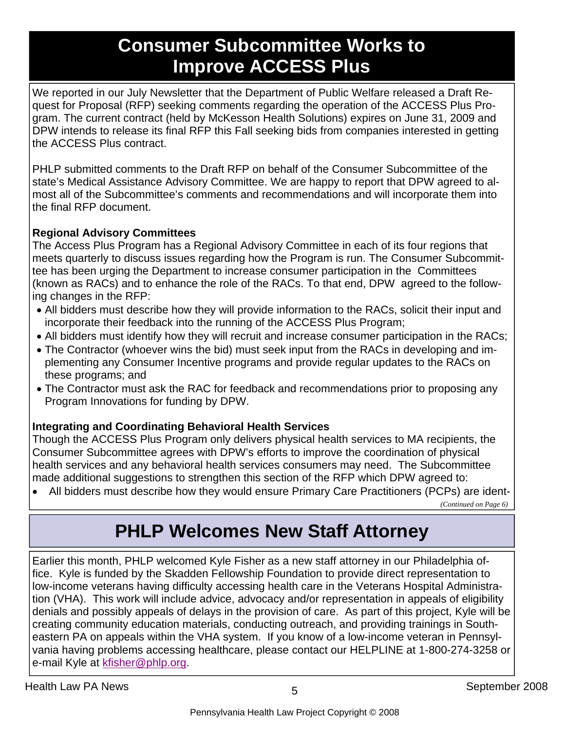### **Consumer Subcommittee Works to Improve ACCESS Plus**

We reported in our July Newsletter that the Department of Public Welfare released a Draft Request for Proposal (RFP) seeking comments regarding the operation of the ACCESS Plus Program. The current contract (held by McKesson Health Solutions) expires on June 31, 2009 and DPW intends to release its final RFP this Fall seeking bids from companies interested in getting the ACCESS Plus contract.

PHLP submitted comments to the Draft RFP on behalf of the Consumer Subcommittee of the state's Medical Assistance Advisory Committee. We are happy to report that DPW agreed to almost all of the Subcommittee's comments and recommendations and will incorporate them into the final RFP document.

#### **Regional Advisory Committees**

The Access Plus Program has a Regional Advisory Committee in each of its four regions that meets quarterly to discuss issues regarding how the Program is run. The Consumer Subcommittee has been urging the Department to increase consumer participation in the Committees (known as RACs) and to enhance the role of the RACs. To that end, DPW agreed to the following changes in the RFP:

- All bidders must describe how they will provide information to the RACs, solicit their input and incorporate their feedback into the running of the ACCESS Plus Program;
- All bidders must identify how they will recruit and increase consumer participation in the RACs;
- The Contractor (whoever wins the bid) must seek input from the RACs in developing and implementing any Consumer Incentive programs and provide regular updates to the RACs on these programs; and
- The Contractor must ask the RAC for feedback and recommendations prior to proposing any Program Innovations for funding by DPW.

#### **Integrating and Coordinating Behavioral Health Services**

Though the ACCESS Plus Program only delivers physical health services to MA recipients, the Consumer Subcommittee agrees with DPW's efforts to improve the coordination of physical health services and any behavioral health services consumers may need. The Subcommittee made additional suggestions to strengthen this section of the RFP which DPW agreed to:

• All bidders must describe how they would ensure Primary Care Practitioners (PCPs) are ident-

*(Continued on Page 6)* 

# **PHLP Welcomes New Staff Attorney**

Earlier this month, PHLP welcomed Kyle Fisher as a new staff attorney in our Philadelphia office. Kyle is funded by the Skadden Fellowship Foundation to provide direct representation to low-income veterans having difficulty accessing health care in the Veterans Hospital Administration (VHA). This work will include advice, advocacy and/or representation in appeals of eligibility denials and possibly appeals of delays in the provision of care. As part of this project, Kyle will be creating community education materials, conducting outreach, and providing trainings in Southeastern PA on appeals within the VHA system. If you know of a low-income veteran in Pennsylvania having problems accessing healthcare, please contact our HELPLINE at 1-800-274-3258 or e-mail Kyle at kfisher@phlp.org.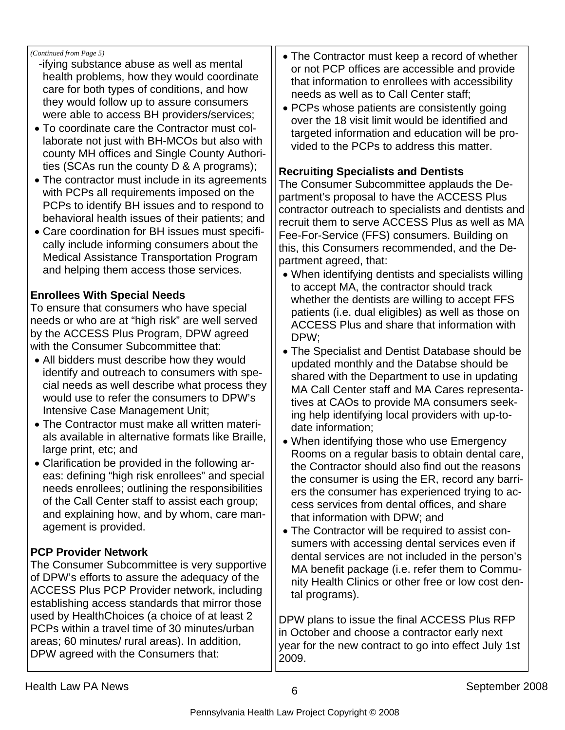*(Continued from Page 5)* 

- -ifying substance abuse as well as mental health problems, how they would coordinate care for both types of conditions, and how they would follow up to assure consumers were able to access BH providers/services;
- To coordinate care the Contractor must collaborate not just with BH-MCOs but also with county MH offices and Single County Authorities (SCAs run the county D & A programs);
- The contractor must include in its agreements with PCPs all requirements imposed on the PCPs to identify BH issues and to respond to behavioral health issues of their patients; and
- Care coordination for BH issues must specifically include informing consumers about the Medical Assistance Transportation Program and helping them access those services.

#### **Enrollees With Special Needs**

To ensure that consumers who have special needs or who are at "high risk" are well served by the ACCESS Plus Program, DPW agreed with the Consumer Subcommittee that:

- All bidders must describe how they would identify and outreach to consumers with special needs as well describe what process they would use to refer the consumers to DPW's Intensive Case Management Unit;
- The Contractor must make all written materials available in alternative formats like Braille, large print, etc; and
- Clarification be provided in the following areas: defining "high risk enrollees" and special needs enrollees; outlining the responsibilities of the Call Center staff to assist each group; and explaining how, and by whom, care management is provided.

#### **PCP Provider Network**

The Consumer Subcommittee is very supportive of DPW's efforts to assure the adequacy of the ACCESS Plus PCP Provider network, including establishing access standards that mirror those used by HealthChoices (a choice of at least 2 PCPs within a travel time of 30 minutes/urban areas; 60 minutes/ rural areas). In addition, DPW agreed with the Consumers that:

- The Contractor must keep a record of whether or not PCP offices are accessible and provide that information to enrollees with accessibility needs as well as to Call Center staff;
- PCPs whose patients are consistently going over the 18 visit limit would be identified and targeted information and education will be provided to the PCPs to address this matter.

#### **Recruiting Specialists and Dentists**

The Consumer Subcommittee applauds the Department's proposal to have the ACCESS Plus contractor outreach to specialists and dentists and recruit them to serve ACCESS Plus as well as MA Fee-For-Service (FFS) consumers. Building on this, this Consumers recommended, and the Department agreed, that:

- When identifying dentists and specialists willing to accept MA, the contractor should track whether the dentists are willing to accept FFS patients (i.e. dual eligibles) as well as those on ACCESS Plus and share that information with DPW;
- The Specialist and Dentist Database should be updated monthly and the Databse should be shared with the Department to use in updating MA Call Center staff and MA Cares representatives at CAOs to provide MA consumers seeking help identifying local providers with up-todate information;
- When identifying those who use Emergency Rooms on a regular basis to obtain dental care, the Contractor should also find out the reasons the consumer is using the ER, record any barriers the consumer has experienced trying to access services from dental offices, and share that information with DPW; and
- The Contractor will be required to assist consumers with accessing dental services even if dental services are not included in the person's MA benefit package (i.e. refer them to Community Health Clinics or other free or low cost dental programs).

DPW plans to issue the final ACCESS Plus RFP in October and choose a contractor early next year for the new contract to go into effect July 1st 2009.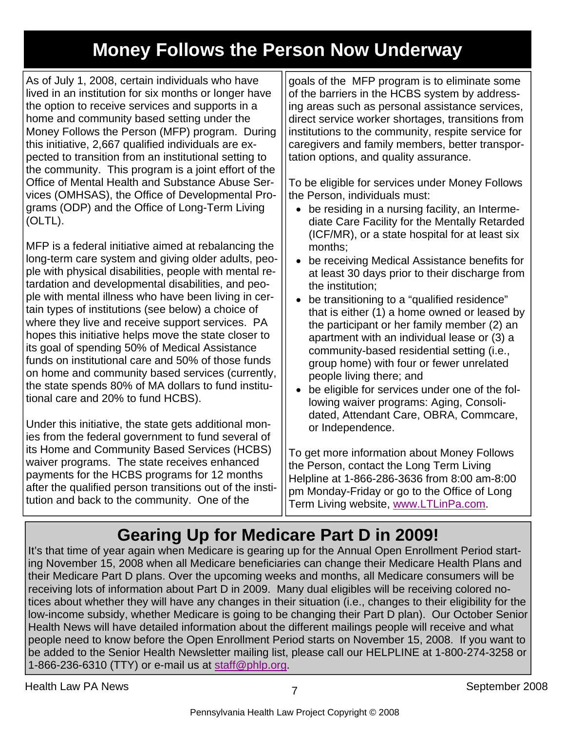# **Money Follows the Person Now Underway**

As of July 1, 2008, certain individuals who have lived in an institution for six months or longer have the option to receive services and supports in a home and community based setting under the Money Follows the Person (MFP) program. During this initiative, 2,667 qualified individuals are expected to transition from an institutional setting to the community. This program is a joint effort of the Office of Mental Health and Substance Abuse Services (OMHSAS), the Office of Developmental Programs (ODP) and the Office of Long-Term Living (OLTL).

MFP is a federal initiative aimed at rebalancing the long-term care system and giving older adults, people with physical disabilities, people with mental retardation and developmental disabilities, and people with mental illness who have been living in certain types of institutions (see below) a choice of where they live and receive support services. PA hopes this initiative helps move the state closer to its goal of spending 50% of Medical Assistance funds on institutional care and 50% of those funds on home and community based services (currently, the state spends 80% of MA dollars to fund institutional care and 20% to fund HCBS).

Under this initiative, the state gets additional monies from the federal government to fund several of its Home and Community Based Services (HCBS) waiver programs. The state receives enhanced payments for the HCBS programs for 12 months after the qualified person transitions out of the institution and back to the community. One of the

goals of the MFP program is to eliminate some of the barriers in the HCBS system by addressing areas such as personal assistance services, direct service worker shortages, transitions from institutions to the community, respite service for caregivers and family members, better transportation options, and quality assurance.

To be eligible for services under Money Follows the Person, individuals must:

- be residing in a nursing facility, an Intermediate Care Facility for the Mentally Retarded (ICF/MR), or a state hospital for at least six months;
- be receiving Medical Assistance benefits for at least 30 days prior to their discharge from the institution;
- be transitioning to a "qualified residence" that is either (1) a home owned or leased by the participant or her family member (2) an apartment with an individual lease or (3) a community-based residential setting (i.e., group home) with four or fewer unrelated people living there; and
- be eligible for services under one of the following waiver programs: Aging, Consolidated, Attendant Care, OBRA, Commcare, or Independence.

To get more information about Money Follows the Person, contact the Long Term Living Helpline at 1-866-286-3636 from 8:00 am-8:00 pm Monday-Friday or go to the Office of Long Term Living website, www.LTLinPa.com.

# **Gearing Up for Medicare Part D in 2009!**

It's that time of year again when Medicare is gearing up for the Annual Open Enrollment Period starting November 15, 2008 when all Medicare beneficiaries can change their Medicare Health Plans and their Medicare Part D plans. Over the upcoming weeks and months, all Medicare consumers will be receiving lots of information about Part D in 2009. Many dual eligibles will be receiving colored notices about whether they will have any changes in their situation (i.e., changes to their eligibility for the low-income subsidy, whether Medicare is going to be changing their Part D plan). Our October Senior Health News will have detailed information about the different mailings people will receive and what people need to know before the Open Enrollment Period starts on November 15, 2008. If you want to be added to the Senior Health Newsletter mailing list, please call our HELPLINE at 1-800-274-3258 or 1-866-236-6310 (TTY) or e-mail us at staff@phlp.org.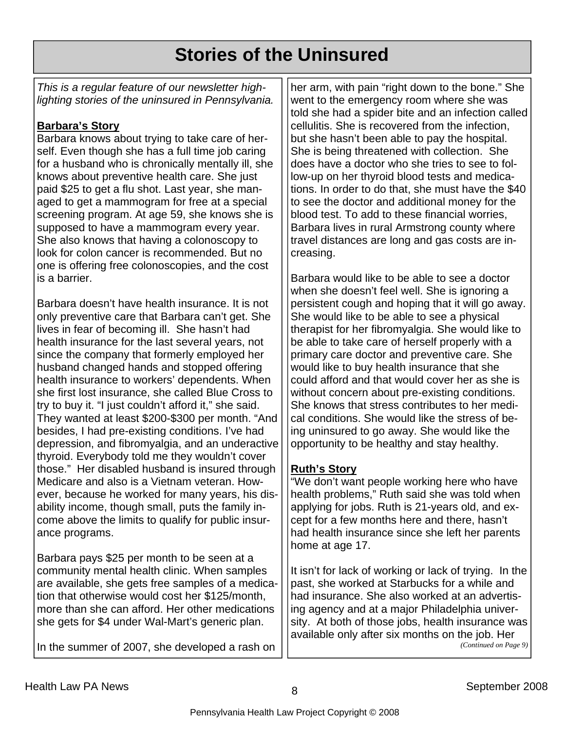# **Stories of the Uninsured**

*This is a regular feature of our newsletter highlighting stories of the uninsured in Pennsylvania.* 

#### **Barbara's Story**

Barbara knows about trying to take care of herself. Even though she has a full time job caring for a husband who is chronically mentally ill, she knows about preventive health care. She just paid \$25 to get a flu shot. Last year, she managed to get a mammogram for free at a special screening program. At age 59, she knows she is supposed to have a mammogram every year. She also knows that having a colonoscopy to look for colon cancer is recommended. But no one is offering free colonoscopies, and the cost is a barrier.

Barbara doesn't have health insurance. It is not only preventive care that Barbara can't get. She lives in fear of becoming ill. She hasn't had health insurance for the last several years, not since the company that formerly employed her husband changed hands and stopped offering health insurance to workers' dependents. When she first lost insurance, she called Blue Cross to try to buy it. "I just couldn't afford it," she said. They wanted at least \$200-\$300 per month. "And besides, I had pre-existing conditions. I've had depression, and fibromyalgia, and an underactive thyroid. Everybody told me they wouldn't cover those." Her disabled husband is insured through Medicare and also is a Vietnam veteran. However, because he worked for many years, his disability income, though small, puts the family income above the limits to qualify for public insurance programs.

Barbara pays \$25 per month to be seen at a community mental health clinic. When samples are available, she gets free samples of a medication that otherwise would cost her \$125/month, more than she can afford. Her other medications she gets for \$4 under Wal-Mart's generic plan.

In the summer of 2007, she developed a rash on

her arm, with pain "right down to the bone." She went to the emergency room where she was told she had a spider bite and an infection called cellulitis. She is recovered from the infection, but she hasn't been able to pay the hospital. She is being threatened with collection. She does have a doctor who she tries to see to follow-up on her thyroid blood tests and medications. In order to do that, she must have the \$40 to see the doctor and additional money for the blood test. To add to these financial worries, Barbara lives in rural Armstrong county where travel distances are long and gas costs are increasing.

Barbara would like to be able to see a doctor when she doesn't feel well. She is ignoring a persistent cough and hoping that it will go away. She would like to be able to see a physical therapist for her fibromyalgia. She would like to be able to take care of herself properly with a primary care doctor and preventive care. She would like to buy health insurance that she could afford and that would cover her as she is without concern about pre-existing conditions. She knows that stress contributes to her medical conditions. She would like the stress of being uninsured to go away. She would like the opportunity to be healthy and stay healthy.

#### **Ruth's Story**

"We don't want people working here who have health problems," Ruth said she was told when applying for jobs. Ruth is 21-years old, and except for a few months here and there, hasn't had health insurance since she left her parents home at age 17.

It isn't for lack of working or lack of trying. In the past, she worked at Starbucks for a while and had insurance. She also worked at an advertising agency and at a major Philadelphia university. At both of those jobs, health insurance was available only after six months on the job. Her *(Continued on Page 9)*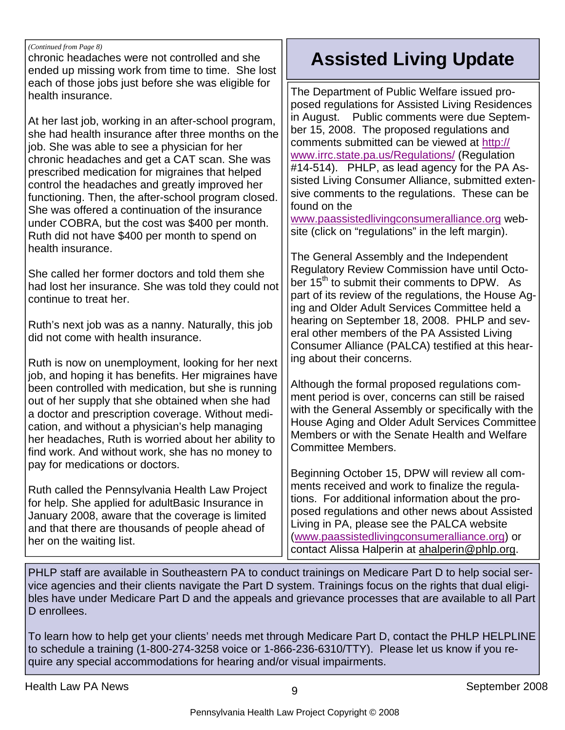#### *(Continued from Page 8)*

chronic headaches were not controlled and she ended up missing work from time to time. She lost each of those jobs just before she was eligible for health insurance.

At her last job, working in an after-school program, she had health insurance after three months on the job. She was able to see a physician for her chronic headaches and get a CAT scan. She was prescribed medication for migraines that helped control the headaches and greatly improved her functioning. Then, the after-school program closed. She was offered a continuation of the insurance under COBRA, but the cost was \$400 per month. Ruth did not have \$400 per month to spend on health insurance.

She called her former doctors and told them she had lost her insurance. She was told they could not continue to treat her.

Ruth's next job was as a nanny. Naturally, this job did not come with health insurance.

Ruth is now on unemployment, looking for her next job, and hoping it has benefits. Her migraines have been controlled with medication, but she is running out of her supply that she obtained when she had a doctor and prescription coverage. Without medication, and without a physician's help managing her headaches, Ruth is worried about her ability to find work. And without work, she has no money to pay for medications or doctors.

Ruth called the Pennsylvania Health Law Project for help. She applied for adultBasic Insurance in January 2008, aware that the coverage is limited and that there are thousands of people ahead of her on the waiting list.

# **Assisted Living Update**

The Department of Public Welfare issued proposed regulations for Assisted Living Residences in August. Public comments were due September 15, 2008. The proposed regulations and comments submitted can be viewed at http:// www.irrc.state.pa.us/Regulations/ (Regulation #14-514). PHLP, as lead agency for the PA Assisted Living Consumer Alliance, submitted extensive comments to the regulations. These can be found on the

www.paassistedlivingconsumeralliance.org website (click on "regulations" in the left margin).

The General Assembly and the Independent Regulatory Review Commission have until October 15<sup>th</sup> to submit their comments to DPW. As part of its review of the regulations, the House Aging and Older Adult Services Committee held a hearing on September 18, 2008. PHLP and several other members of the PA Assisted Living Consumer Alliance (PALCA) testified at this hearing about their concerns.

Although the formal proposed regulations comment period is over, concerns can still be raised with the General Assembly or specifically with the House Aging and Older Adult Services Committee Members or with the Senate Health and Welfare Committee Members.

Beginning October 15, DPW will review all comments received and work to finalize the regulations. For additional information about the proposed regulations and other news about Assisted Living in PA, please see the PALCA website (www.paassistedlivingconsumeralliance.org) or contact Alissa Halperin at ahalperin@phlp.org.

PHLP staff are available in Southeastern PA to conduct trainings on Medicare Part D to help social service agencies and their clients navigate the Part D system. Trainings focus on the rights that dual eligibles have under Medicare Part D and the appeals and grievance processes that are available to all Part D enrollees.

To learn how to help get your clients' needs met through Medicare Part D, contact the PHLP HELPLINE to schedule a training (1-800-274-3258 voice or 1-866-236-6310/TTY). Please let us know if you require any special accommodations for hearing and/or visual impairments.